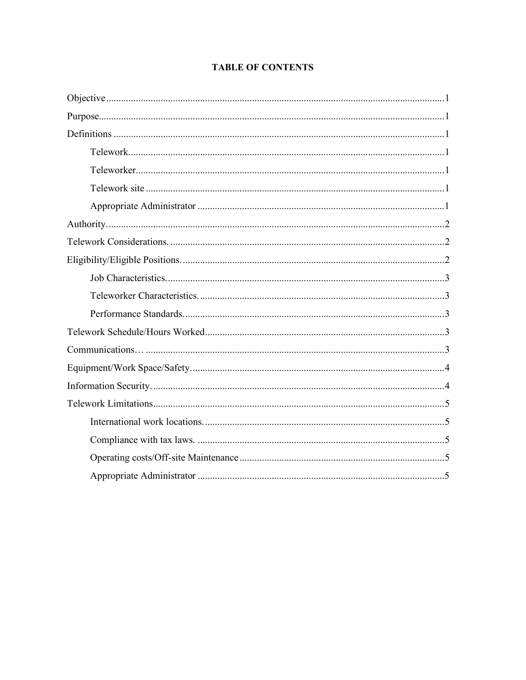# **TABLE OF CONTENTS**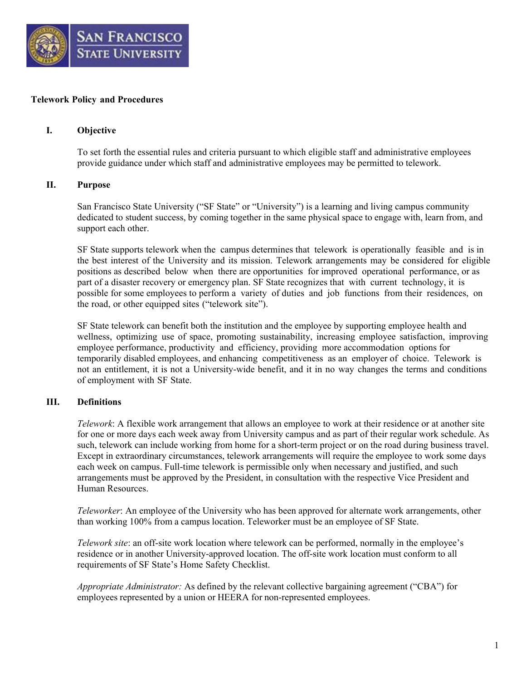

## **Telework Policy and Procedures**

#### **I. Objective**

To set forth the essential rules and criteria pursuant to which eligible staff and administrative employees provide guidance under which staff and administrative employees may be permitted to telework.

#### **II. Purpose**

San Francisco State University ("SF State" or "University") is a learning and living campus community dedicated to student success, by coming together in the same physical space to engage with, learn from, and support each other.

SF State supports telework when the campus determines that telework is operationally feasible and is in the best interest of the University and its mission. Telework arrangements may be considered for eligible positions as described below when there are opportunities for improved operational performance, or as part of a disaster recovery or emergency plan. SF State recognizes that with current technology, it is possible for some employees to perform a variety of duties and job functions from their residences, on the road, or other equipped sites ("telework site").

SF State telework can benefit both the institution and the employee by supporting employee health and wellness, optimizing use of space, promoting sustainability, increasing employee satisfaction, improving employee performance, productivity and efficiency, providing more accommodation options for temporarily disabled employees, and enhancing competitiveness as an employer of choice. Telework is not an entitlement, it is not a University-wide benefit, and it in no way changes the terms and conditions of employment with SF State.

#### **III. Definitions**

*Telework*: A flexible work arrangement that allows an employee to work at their residence or at another site for one or more days each week away from University campus and as part of their regular work schedule. As such, telework can include working from home for a short-term project or on the road during business travel. Except in extraordinary circumstances, telework arrangements will require the employee to work some days each week on campus. Full-time telework is permissible only when necessary and justified, and such arrangements must be approved by the President, in consultation with the respective Vice President and Human Resources.

*Teleworker*: An employee of the University who has been approved for alternate work arrangements, other than working 100% from a campus location. Teleworker must be an employee of SF State.

*Telework site*: an off-site work location where telework can be performed, normally in the employee's residence or in another University-approved location. The off-site work location must conform to all requirements of SF State's Home Safety Checklist.

*Appropriate Administrator:* As defined by the relevant collective bargaining agreement ("CBA") for employees represented by a union or HEERA for non-represented employees.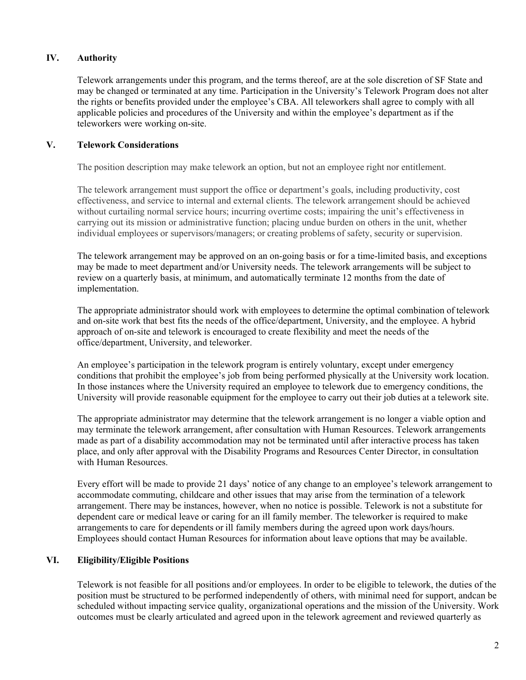# **IV. Authority**

Telework arrangements under this program, and the terms thereof, are at the sole discretion of SF State and may be changed or terminated at any time. Participation in the University's Telework Program does not alter the rights or benefits provided under the employee's CBA. All teleworkers shall agree to comply with all applicable policies and procedures of the University and within the employee's department as if the teleworkers were working on-site.

## **V. Telework Considerations**

The position description may make telework an option, but not an employee right nor entitlement.

The telework arrangement must support the office or department's goals, including productivity, cost effectiveness, and service to internal and external clients. The telework arrangement should be achieved without curtailing normal service hours; incurring overtime costs; impairing the unit's effectiveness in carrying out its mission or administrative function; placing undue burden on others in the unit, whether individual employees or supervisors/managers; or creating problems of safety, security or supervision.

The telework arrangement may be approved on an on-going basis or for a time-limited basis, and exceptions may be made to meet department and/or University needs. The telework arrangements will be subject to review on a quarterly basis, at minimum, and automatically terminate 12 months from the date of implementation.

The appropriate administrator should work with employees to determine the optimal combination of telework and on-site work that best fits the needs of the office/department, University, and the employee. A hybrid approach of on-site and telework is encouraged to create flexibility and meet the needs of the office/department, University, and teleworker.

An employee's participation in the telework program is entirely voluntary, except under emergency conditions that prohibit the employee's job from being performed physically at the University work location. In those instances where the University required an employee to telework due to emergency conditions, the University will provide reasonable equipment for the employee to carry out their job duties at a telework site.

The appropriate administrator may determine that the telework arrangement is no longer a viable option and may terminate the telework arrangement, after consultation with Human Resources. Telework arrangements made as part of a disability accommodation may not be terminated until after interactive process has taken place, and only after approval with the Disability Programs and Resources Center Director, in consultation with Human Resources.

Every effort will be made to provide 21 days' notice of any change to an employee's telework arrangement to accommodate commuting, childcare and other issues that may arise from the termination of a telework arrangement. There may be instances, however, when no notice is possible. Telework is not a substitute for dependent care or medical leave or caring for an ill family member. The teleworker is required to make arrangements to care for dependents or ill family members during the agreed upon work days/hours. Employees should contact Human Resources for information about leave options that may be available.

# **VI. Eligibility/Eligible Positions**

Telework is not feasible for all positions and/or employees. In order to be eligible to telework, the duties of the position must be structured to be performed independently of others, with minimal need for support, and can be scheduled without impacting service quality, organizational operations and the mission of the University. Work outcomes must be clearly articulated and agreed upon in the telework agreement and reviewed quarterly as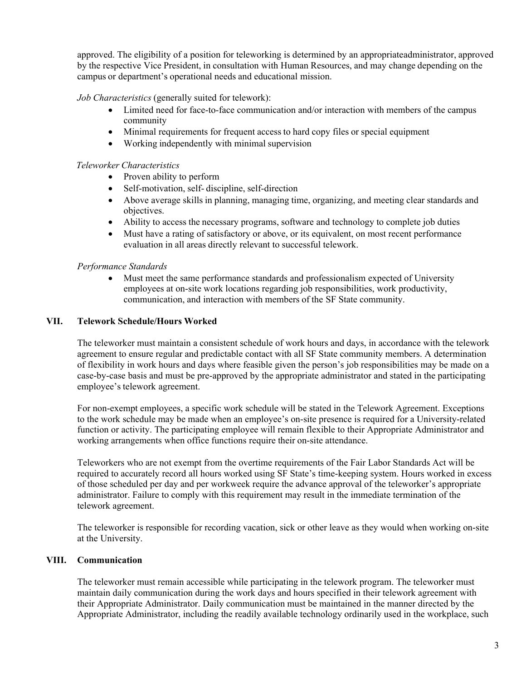approved. The eligibility of a position for teleworking is determined by an appropriate administrator, approved by the respective Vice President, in consultation with Human Resources, and may change depending on the campus or department's operational needs and educational mission.

*Job Characteristics* (generally suited for telework):

- Limited need for face-to-face communication and/or interaction with members of the campus community
- Minimal requirements for frequent access to hard copy files or special equipment
- Working independently with minimal supervision

## *Teleworker Characteristics*

- Proven ability to perform
- Self-motivation, self- discipline, self-direction
- Above average skills in planning, managing time, organizing, and meeting clear standards and objectives.
- Ability to access the necessary programs, software and technology to complete job duties
- Must have a rating of satisfactory or above, or its equivalent, on most recent performance evaluation in all areas directly relevant to successful telework.

## *Performance Standards*

 Must meet the same performance standards and professionalism expected of University employees at on-site work locations regarding job responsibilities, work productivity, communication, and interaction with members of the SF State community.

## **VII. Telework Schedule/Hours Worked**

The teleworker must maintain a consistent schedule of work hours and days, in accordance with the telework agreement to ensure regular and predictable contact with all SF State community members. A determination of flexibility in work hours and days where feasible given the person's job responsibilities may be made on a case-by-case basis and must be pre-approved by the appropriate administrator and stated in the participating employee's telework agreement.

For non-exempt employees, a specific work schedule will be stated in the Telework Agreement. Exceptions to the work schedule may be made when an employee's on-site presence is required for a University-related function or activity. The participating employee will remain flexible to their Appropriate Administrator and working arrangements when office functions require their on-site attendance.

Teleworkers who are not exempt from the overtime requirements of the Fair Labor Standards Act will be required to accurately record all hours worked using SF State's time-keeping system. Hours worked in excess of those scheduled per day and per workweek require the advance approval of the teleworker's appropriate administrator. Failure to comply with this requirement may result in the immediate termination of the telework agreement.

The teleworker is responsible for recording vacation, sick or other leave as they would when working on-site at the University.

#### **VIII. Communication**

The teleworker must remain accessible while participating in the telework program. The teleworker must maintain daily communication during the work days and hours specified in their telework agreement with their Appropriate Administrator. Daily communication must be maintained in the manner directed by the Appropriate Administrator, including the readily available technology ordinarily used in the workplace, such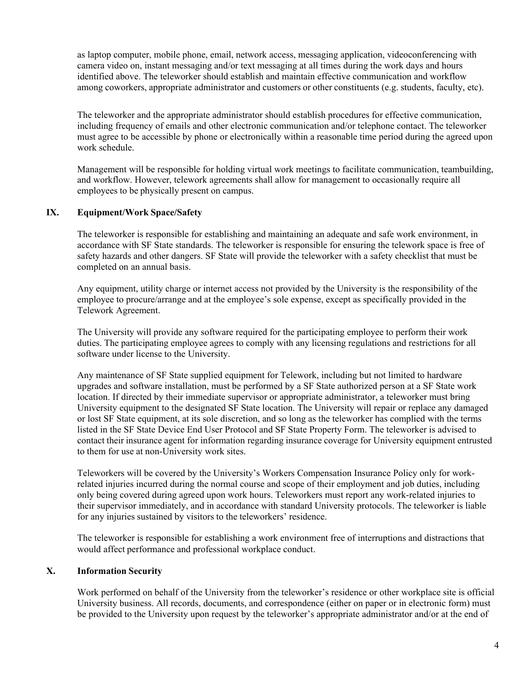as laptop computer, mobile phone, email, network access, messaging application, videoconferencing with camera video on, instant messaging and/or text messaging at all times during the work days and hours identified above. The teleworker should establish and maintain effective communication and workflow among coworkers, appropriate administrator and customers or other constituents (e.g. students, faculty, etc).

The teleworker and the appropriate administrator should establish procedures for effective communication, including frequency of emails and other electronic communication and/or telephone contact. The teleworker must agree to be accessible by phone or electronically within a reasonable time period during the agreed upon work schedule.

Management will be responsible for holding virtual work meetings to facilitate communication, teambuilding, and workflow. However, telework agreements shall allow for management to occasionally require all employees to be physically present on campus.

# **IX. Equipment/Work Space/Safety**

The teleworker is responsible for establishing and maintaining an adequate and safe work environment, in accordance with SF State standards. The teleworker is responsible for ensuring the telework space is free of safety hazards and other dangers. SF State will provide the teleworker with a safety checklist that must be completed on an annual basis.

Any equipment, utility charge or internet access not provided by the University is the responsibility of the employee to procure/arrange and at the employee's sole expense, except as specifically provided in the Telework Agreement.

The University will provide any software required for the participating employee to perform their work duties. The participating employee agrees to comply with any licensing regulations and restrictions for all software under license to the University.

Any maintenance of SF State supplied equipment for Telework, including but not limited to hardware upgrades and software installation, must be performed by a SF State authorized person at a SF State work location. If directed by their immediate supervisor or appropriate administrator, a teleworker must bring University equipment to the designated SF State location. The University will repair or replace any damaged or lost SF State equipment, at its sole discretion, and so long as the teleworker has complied with the terms listed in the SF State Device End User Protocol and SF State Property Form. The teleworker is advised to contact their insurance agent for information regarding insurance coverage for University equipment entrusted to them for use at non-University work sites.

Teleworkers will be covered by the University's Workers Compensation Insurance Policy only for workrelated injuries incurred during the normal course and scope of their employment and job duties, including only being covered during agreed upon work hours. Teleworkers must report any work-related injuries to their supervisor immediately, and in accordance with standard University protocols. The teleworker is liable for any injuries sustained by visitors to the teleworkers' residence.

The teleworker is responsible for establishing a work environment free of interruptions and distractions that would affect performance and professional workplace conduct.

## **X. Information Security**

Work performed on behalf of the University from the teleworker's residence or other workplace site is official University business. All records, documents, and correspondence (either on paper or in electronic form) must be provided to the University upon request by the teleworker's appropriate administrator and/or at the end of